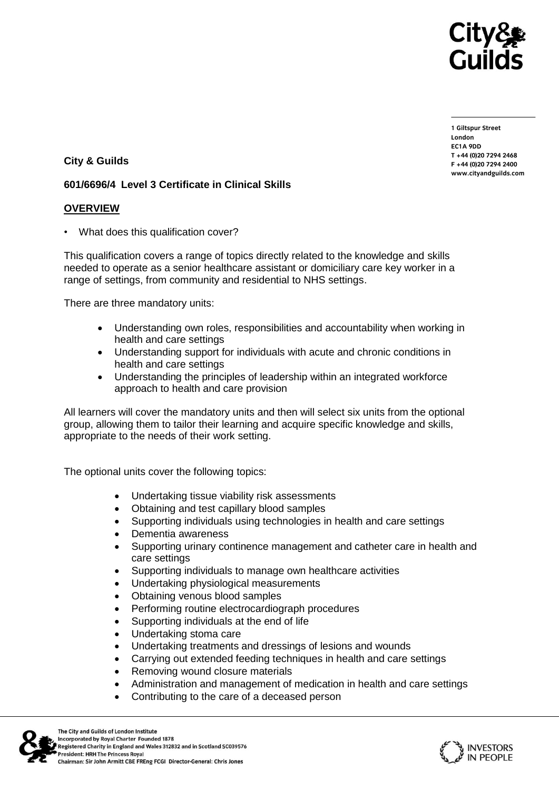

**1 Giltspur Street EC1A ODD** T +44 (0) 20 7 294 2468 **T +44 (0)20 7294 2468** www.cityandguilds.com **www.cityandguilds.com**

**City & Guilds** 

## **601/6696/4 Level 3 Certificate in Clinical Skills**

### **OVERVIEW**

• What does this qualification cover?

This qualification covers a range of topics directly related to the knowledge and skills needed to operate as a senior healthcare assistant or domiciliary care key worker in a range of settings, from community and residential to NHS settings.

There are three mandatory units:

- Understanding own roles, responsibilities and accountability when working in health and care settings
- Understanding support for individuals with acute and chronic conditions in health and care settings
- Understanding the principles of leadership within an integrated workforce approach to health and care provision

All learners will cover the mandatory units and then will select six units from the optional group, allowing them to tailor their learning and acquire specific knowledge and skills, appropriate to the needs of their work setting.

The optional units cover the following topics:

- Undertaking tissue viability risk assessments
- Obtaining and test capillary blood samples
- Supporting individuals using technologies in health and care settings
- Dementia awareness
- Supporting urinary continence management and catheter care in health and care settings
- Supporting individuals to manage own healthcare activities
- Undertaking physiological measurements
- Obtaining venous blood samples
- Performing routine electrocardiograph procedures
- Supporting individuals at the end of life
- Undertaking stoma care
- Undertaking treatments and dressings of lesions and wounds
- Carrying out extended feeding techniques in health and care settings
- Removing wound closure materials
- Administration and management of medication in health and care settings
- Contributing to the care of a deceased person